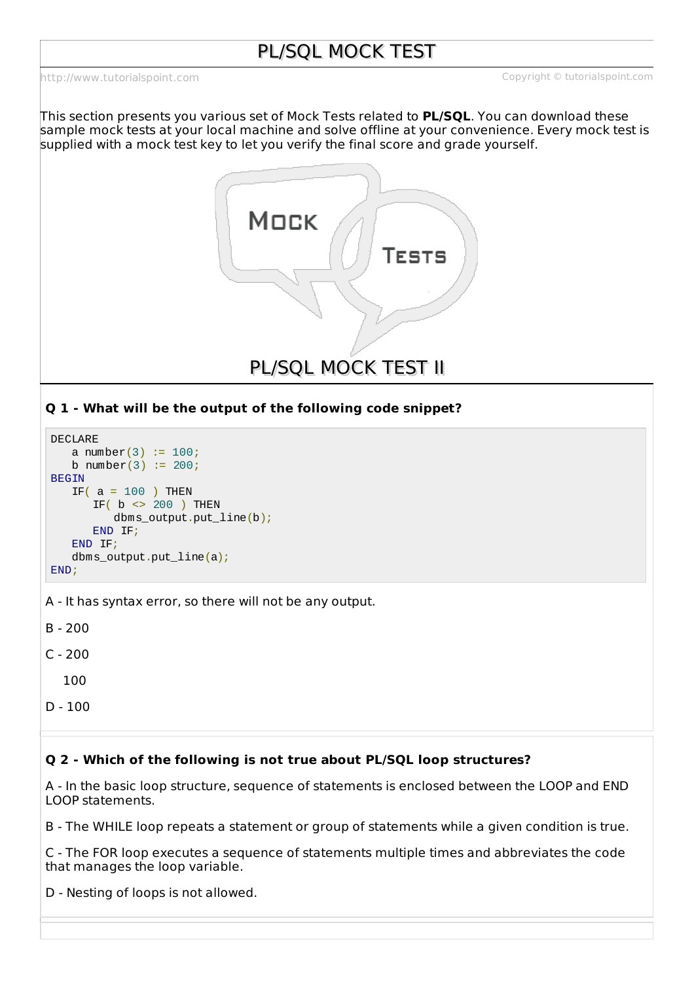<http://www.tutorialspoint.com> Copyright © tutorialspoint.com

This section presents you various set of Mock Tests related to **PL/SQL**. You can download these sample mock tests at your local machine and solve offline at your convenience. Every mock test is supplied with a mock test key to let you verify the final score and grade yourself.



# **Q 1 - What will be the output of the following code snippet?**

```
DECLARE
   a number(3) := 100;b number(3) := 200;BEGIN
   IF( a = 100 ) THEN
      IF( b \leq 200 ) THEN
          dbms_output.put_line(b);
      END IF;
   END IF;
   dbms_output.put_line(a);
END;
```
A - It has syntax error, so there will not be any output.

B - 200

C - 200

100

D - 100

# **Q 2 - Which of the following is not true about PL/SQL loop structures?**

A - In the basic loop structure, sequence of statements is enclosed between the LOOP and END LOOP statements.

B - The WHILE loop repeats a statement or group of statements while a given condition is true.

C - The FOR loop executes a sequence of statements multiple times and abbreviates the code that manages the loop variable.

D - Nesting of loops is not allowed.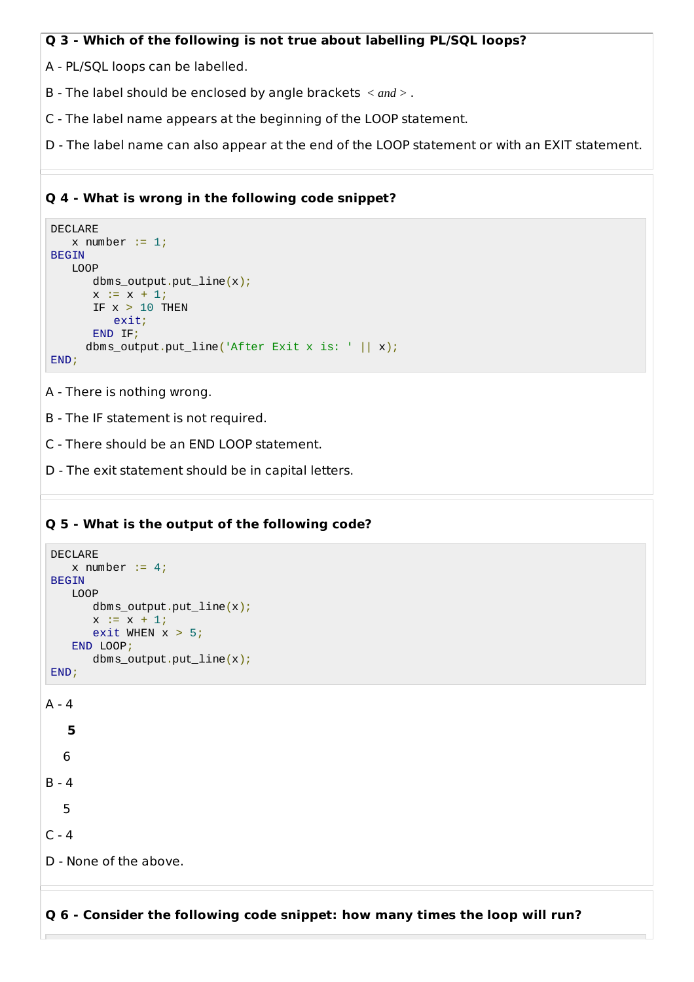#### **Q 3 - Which of the following is not true about labelling PL/SQL loops?**

A - PL/SQL loops can be labelled.

- B The label should be enclosed by angle brackets < *and* > .
- C The label name appears at the beginning of the LOOP statement.
- D The label name can also appear at the end of the LOOP statement or with an EXIT statement.

#### **Q 4 - What is wrong in the following code snippet?**

```
DECLARE
   x number := 1;BEGIN
   LOOP
      dbms_output.put_line(x);
      x := x + 1;IF x > 10 THEN
          exit;
      END IF;
     dbms_output.put_line('After Exit x is: ' || x);
END;
```
A - There is nothing wrong.

- B The IF statement is not required.
- C There should be an END LOOP statement.
- D The exit statement should be in capital letters.

#### **Q 5 - What is the output of the following code?**

```
DECLARE
    x number := 4;BEGIN
    LOOP
       dbms_output.put_line(x);
       x := x + 1;exit WHEN x > 5;
    END LOOP;
       dbms_output.put_line(x);
END;
A - 45
  6
B - 4
  5
C - 4D - None of the above.
```
**Q 6 - Consider the following code snippet: how many times the loop will run?**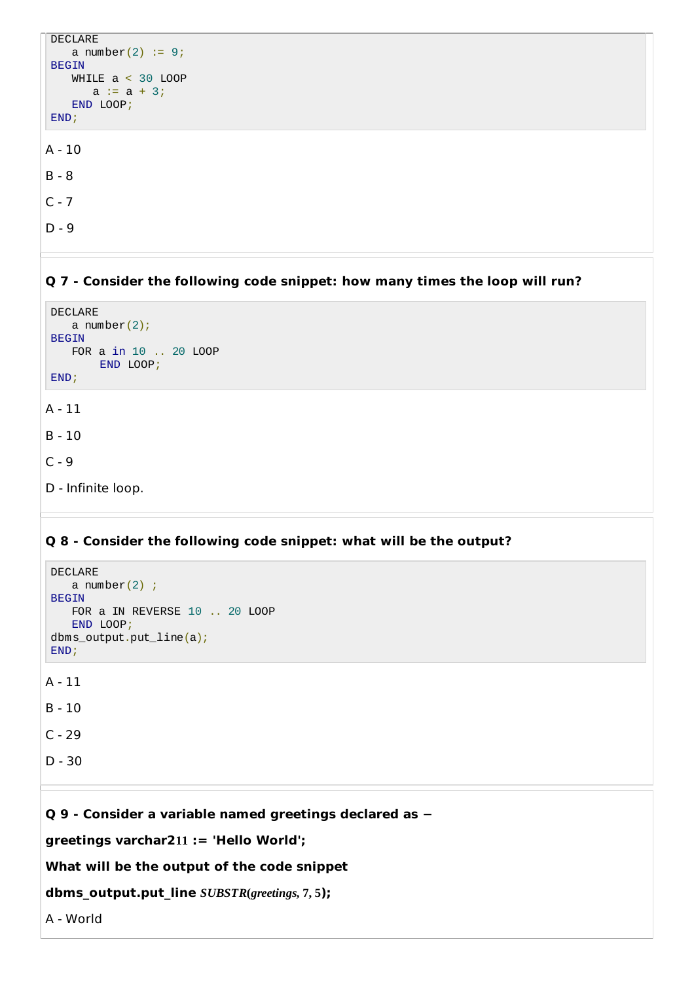```
DECLARE
    a number(2) := 9;
BEGIN
   WHILE a < 30 LOOP
      a := a + 3;END LOOP;
END;
A - 10
B - 8
C - 7
```
D - 9

#### **Q 7 - Consider the following code snippet: how many times the loop will run?**

```
DECLARE
    a number(2);
BEGIN
    FOR a in 10 .. 20 LOOP
        END LOOP;
END;
A - 11
B - 10
```
 $C - 9$ 

D - Infinite loop.

#### **Q 8 - Consider the following code snippet: what will be the output?**

```
DECLARE
    a number(2);
BEGIN
    FOR a IN REVERSE 10 .. 20 LOOP
    END LOOP;
dbms_output.put_line(a);
END;
A - 11
```
B - 10

 $C - 29$ 

D - 30

**Q 9 - Consider a variable named greetings declared as −**

**greetings varchar211 := 'Hello World';**

```
What will be the output of the code snippet
```

```
dbms_output.put_line SUBSTR(greetings, 7, 5);
```
A - World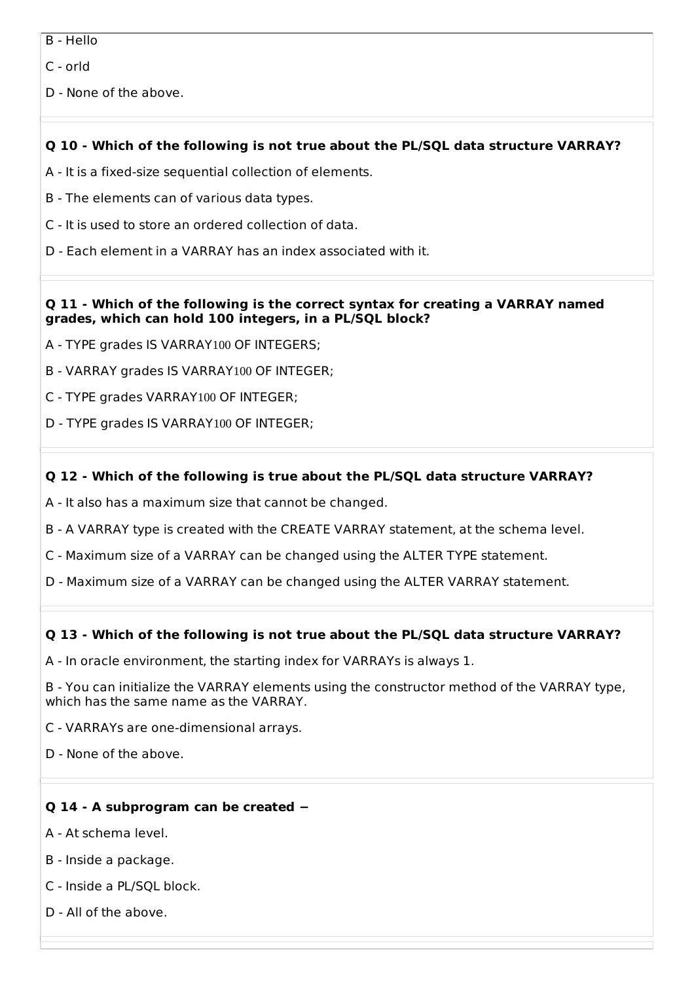B - Hello

C - orld

D - None of the above.

# **Q 10 - Which of the following is not true about the PL/SQL data structure VARRAY?**

- A It is a fixed-size sequential collection of elements.
- B The elements can of various data types.
- C It is used to store an ordered collection of data.
- D Each element in a VARRAY has an index associated with it.

#### **Q 11 - Which of the following is the correct syntax for creating a VARRAY named grades, which can hold 100 integers, in a PL/SQL block?**

- A TYPE grades IS VARRAY100 OF INTEGERS;
- B VARRAY grades IS VARRAY100 OF INTEGER;
- C TYPE grades VARRAY100 OF INTEGER;
- D TYPE grades IS VARRAY100 OF INTEGER;

# **Q 12 - Which of the following is true about the PL/SQL data structure VARRAY?**

- A It also has a maximum size that cannot be changed.
- B A VARRAY type is created with the CREATE VARRAY statement, at the schema level.
- C Maximum size of a VARRAY can be changed using the ALTER TYPE statement.
- D Maximum size of a VARRAY can be changed using the ALTER VARRAY statement.

# **Q 13 - Which of the following is not true about the PL/SQL data structure VARRAY?**

- A In oracle environment, the starting index for VARRAYs is always 1.
- B You can initialize the VARRAY elements using the constructor method of the VARRAY type, which has the same name as the VARRAY.
- C VARRAYs are one-dimensional arrays.
- D None of the above.

# **Q 14 - A subprogram can be created −**

- A At schema level.
- B Inside a package.
- C Inside a PL/SQL block.
- D All of the above.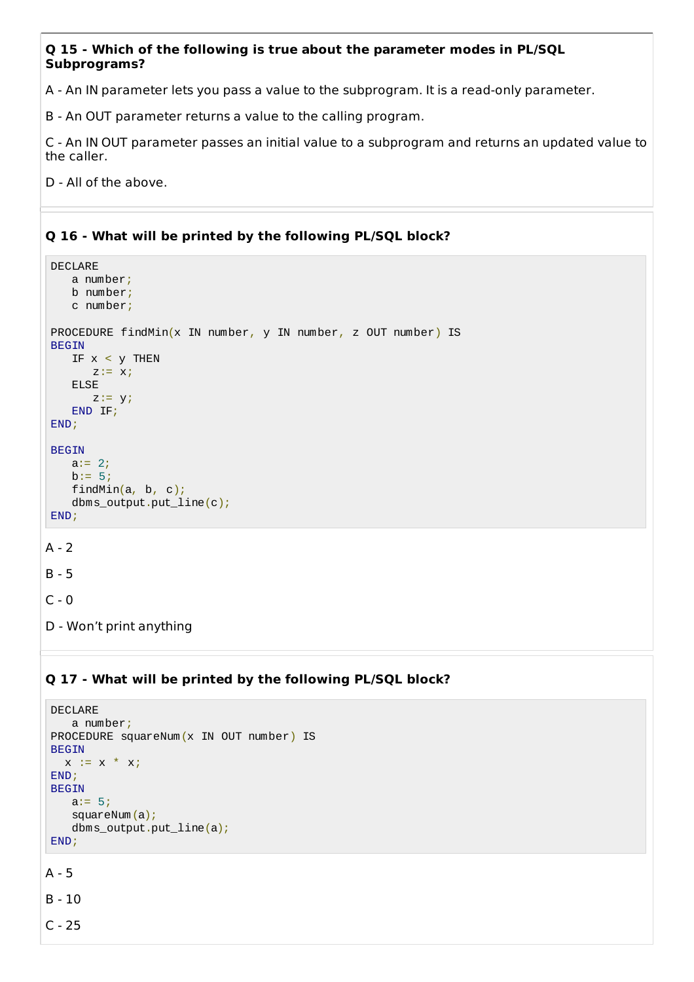## **Q 15 - Which of the following is true about the parameter modes in PL/SQL Subprograms?**

A - An IN parameter lets you pass a value to the subprogram. It is a read-only parameter.

B - An OUT parameter returns a value to the calling program.

C - An IN OUT parameter passes an initial value to a subprogram and returns an updated value to the caller.

D - All of the above.

# **Q 16 - What will be printed by the following PL/SQL block?**

```
DECLARE
    a number;
    b number;
    c number;
PROCEDURE findMin(x IN number, y IN number, z OUT number) IS
BEGIN
    IF x < y THEN
       z:= x;ELSE
       z := y;END IF;
END;
BEGIN
    a:= 2;b := 5;findMin(a, b, c);
    dbms_output.put_line(c);
END;
A - 2B - 5
C - 0
```
D - Won't print anything

# **Q 17 - What will be printed by the following PL/SQL block?**

```
DECLARE
   a number;
PROCEDURE squareNum(x IN OUT number) IS
BEGIN
  x := x * x;
END;
BEGIN
   a:= 5;squareNum(a);
   dbms_output.put_line(a);
END;
```
A - 5

B - 10

C - 25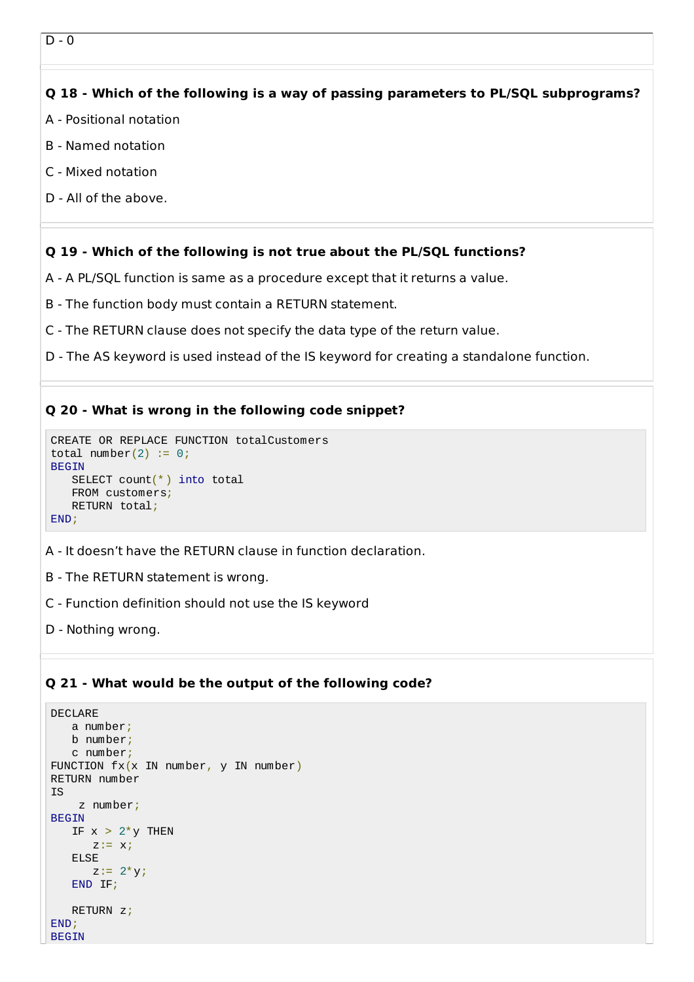## **Q 18 - Which of the following is a way of passing parameters to PL/SQL subprograms?**

- A Positional notation
- B Named notation
- C Mixed notation
- D All of the above.

#### **Q 19 - Which of the following is not true about the PL/SQL functions?**

- A A PL/SQL function is same as a procedure except that it returns a value.
- B The function body must contain a RETURN statement.
- C The RETURN clause does not specify the data type of the return value.
- D The AS keyword is used instead of the IS keyword for creating a standalone function.

## **Q 20 - What is wrong in the following code snippet?**

```
CREATE OR REPLACE FUNCTION totalCustomers
total number(2) := 0;BEGIN
   SELECT count(*) into total
   FROM customers;
   RETURN total;
END;
```
- A It doesn't have the RETURN clause in function declaration.
- B The RETURN statement is wrong.
- C Function definition should not use the IS keyword
- D Nothing wrong.

## **Q 21 - What would be the output of the following code?**

```
DECLARE
   a number;
   b number;
   c number;
FUNCTION fx(x \in \mathbb{N}) number, y IN number)
RETURN number
IS
    z number;
BEGIN
   IF x > 2<sup>*</sup> v THEN
       z:= x;ELSE
       z := 2^{*}y;END IF;
   RETURN z;
END;
BEGIN
```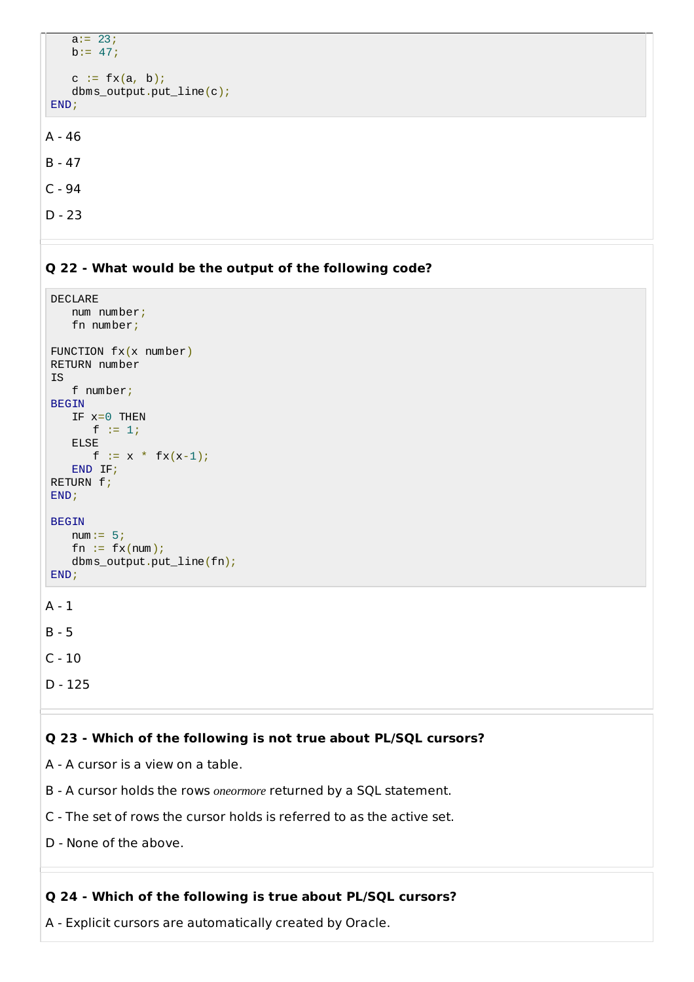```
a:= 23;b := 47;c := f(x(a, b));
    dbms_output.put_line(c);
END;
A - 46
```

```
B - 47
```

```
C - 94
```

```
D - 23
```
# **Q 22 - What would be the output of the following code?**

```
DECLARE
   num number;
    fn number;
FUNCTION fx(x number)
RETURN number
IS
    f number;
BEGIN
   IF x=0 THEN
      f := 1;
    ELSE
      f := x * fx(x-1);END IF;
RETURN f;
END;
BEGIN
    num := 5;fn := fx(num);dbms_output.put_line(fn);
END;
A - 1
B - 5
```

```
C - 10
```

```
D - 125
```
## **Q 23 - Which of the following is not true about PL/SQL cursors?**

A - A cursor is a view on a table.

- B A cursor holds the rows *oneormore* returned by a SQL statement.
- C The set of rows the cursor holds is referred to as the active set.
- D None of the above.

## **Q 24 - Which of the following is true about PL/SQL cursors?**

A - Explicit cursors are automatically created by Oracle.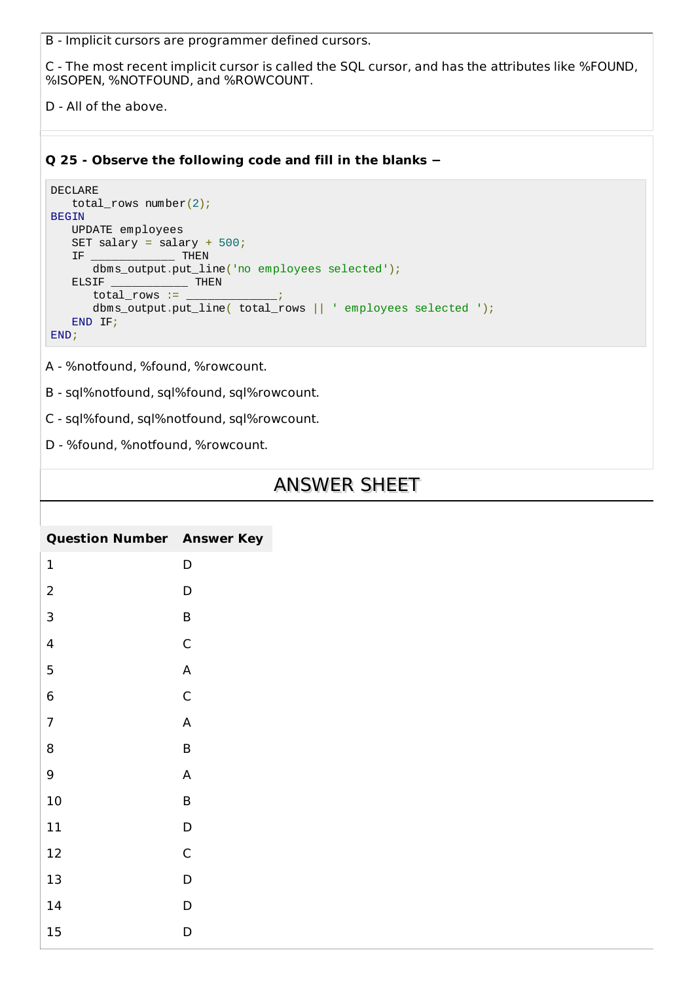B - Implicit cursors are programmer defined cursors.

C - The most recent implicit cursor is called the SQL cursor, and has the attributes like %FOUND, %ISOPEN, %NOTFOUND, and %ROWCOUNT.

D - All of the above.

## **Q 25 - Observe the following code and fill in the blanks −**

```
DECLARE
   total_rows number(2);
BEGIN
   UPDATE employees
   SET salary = salary + 500;
   IF ____________ THEN
      dbms_output.put_line('no employees selected');
   ELSIF ________________ THEN
      total\_rows :=dbms_output.put_line( total_rows || ' employees selected ');
   END IF;
END;
```
A - %notfound, %found, %rowcount.

B - sql%notfound, sql%found, sql%rowcount.

C - sql%found, sql%notfound, sql%rowcount.

D - %found, %notfound, %rowcount.

# ANSWER SHEET

| <b>Question Number Answer Key</b> |   |
|-----------------------------------|---|
| 1                                 | D |
| $\overline{c}$                    | D |
| 3                                 | B |
| 4                                 | C |
| 5                                 | A |
| 6                                 | C |
| $\overline{7}$                    | A |
| 8                                 | B |
| 9                                 | A |
| 10                                | B |
| 11                                | D |
| 12                                | C |
| 13                                | D |
| 14                                | D |
| 15                                | D |